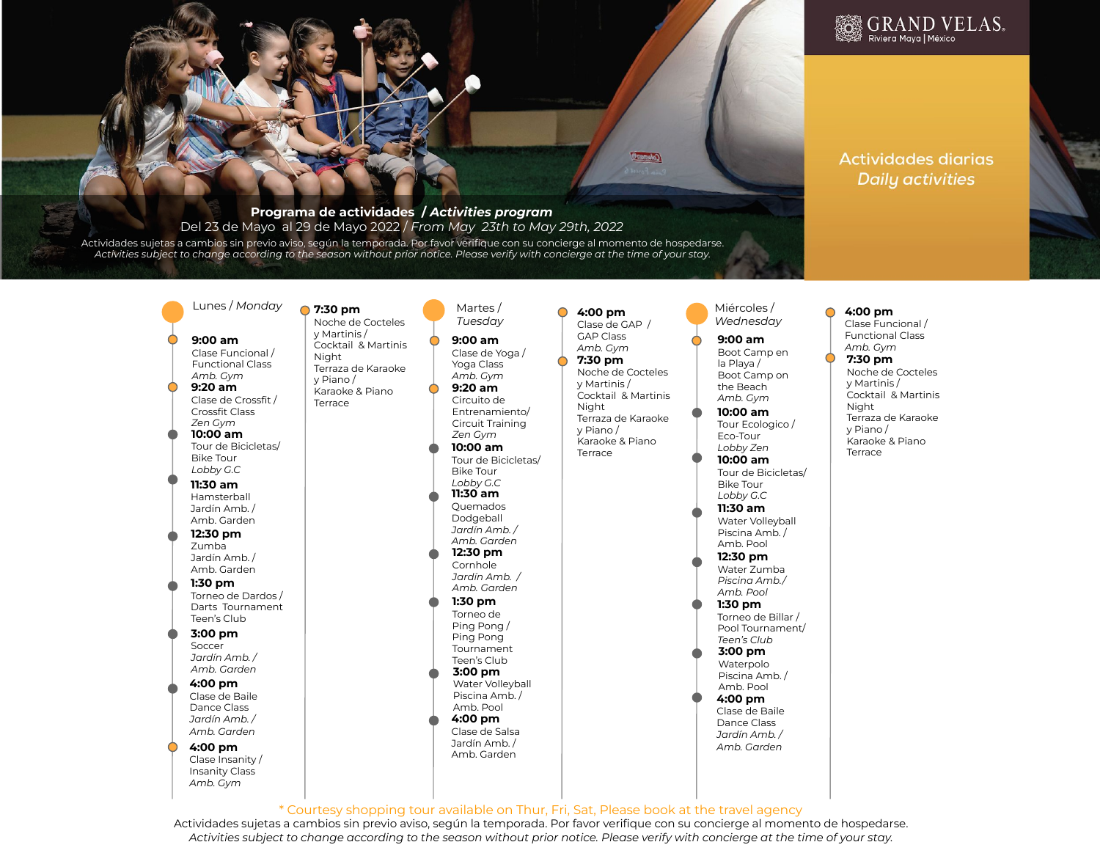### 麴 GRAND VELAS。 Riviera Maya | México

# **Actividades diarias Daily activities**

### **Programa de actividades /** *Activities program*  Del 23 de Mayo al 29 de Mayo 2022 / *From May 23th to May 29th, 2022*

Actividades sujetas a cambios sin previo aviso, según la temporada. Por favor verifique con su concierge al momento de hospedarse. *Activities subject to change according to the season without prior notice. Please verify with concierge at the time of your stay.*

# **9:00 am** Clase Funcional / Functional Class *Amb. Gym*

**10:00 am 9:20 am** Clase de Crossfit / Crossfit Class *Zen Gym*

Tour de Bicicletas/ Bike Tour *Lobby G.C*

Hamsterball Jardín Amb. / Amb. Garden

Zumba Jardín Amb. / Amb. Garden

Torneo de Dardos / Darts Tournament Teen's Club

**3:00 pm** Soccer *Jardín Amb. / Amb. Garden* 

Clase de Baile Dance Class *Jardín Amb. / Amb. Garden* 

> Clase Insanity / Insanity Class *Amb. Gym*

 $Lunes/Monday$  **Monday Martes** / **7:30 pm** Noche de Cocteles y Martinis / Cocktail & Martinis Night

Terraza de Karaoke y Piano / Karaoke & Piano Terrace

**11:30 am**

**1:30 pm 12:30 pm**

**4:00 pm**

**4:00 pm**

*Tuesday* **9:00 am** Clase de Yoga /

Yoga Class *Amb. Gym* **9:20 am**

**10:00 am** Tour de Bicicletas/ Circuito de Entrenamiento/ Circuit Training *Zen Gym*

**11:30 am** Quemados Bike Tour *Lobby G.C*

Dodgeball *Jardín Amb. / Amb. Garden*  **12:30 pm** 

Cornhole *Jardín Amb. / Amb. Garden* 

**1:30 pm** Torneo de Ping Pong / Ping Pong Tournament

**3:00 pm** Water Volleyball Piscina Amb. / Amb. Pool Teen's Club

#### **4:00 pm** Clase de Salsa Jardín Amb. / Amb. Garden

**4:00 pm** Clase de GAP / GAP Class *Amb. Gym*

**7:30 pm** Noche de Cocteles y Martinis / Cocktail & Martinis Night Terraza de Karaoke y Piano / Karaoke & Piano

Terrace

Coleman<sup>®</sup>

**11:30 am** Water Volleyball *Lobby Zen* **10:00 am** Tour de Bicicletas/ Bike Tour *Lobby G.C*

Miércoles / *Wednesday*

**9:00 am** Boot Camp en la Playa / Boot Camp on the Beach *Amb. Gym*

**10:00 am** Tour Ecologico / Eco-Tour

Piscina Amb. / Amb. Pool **12:30 pm** Water Zumba

*Piscina Amb./ Amb. Pool* **1:30 pm** Torneo de Billar /

Pool Tournament/ *Teen's Club*  **3:00 pm**

**4:00 pm** Clase de Baile Waterpolo Piscina Amb. / Amb. Pool

Dance Class *Jardín Amb. / Amb. Garden* 

#### **7:30 pm** Noche de Cocteles y Martinis / Cocktail & Martinis Night Terraza de Karaoke y Piano / **4:00 pm** Clase Funcional / Functional Class *Amb. Gym*

Karaoke & Piano Terrace

\* Courtesy shopping tour available on Thur, Fri, Sat, Please book at the travel agency

Actividades sujetas a cambios sin previo aviso, según la temporada. Por favor verifique con su concierge al momento de hospedarse. *Activities subject to change according to the season without prior notice. Please verify with concierge at the time of your stay.*